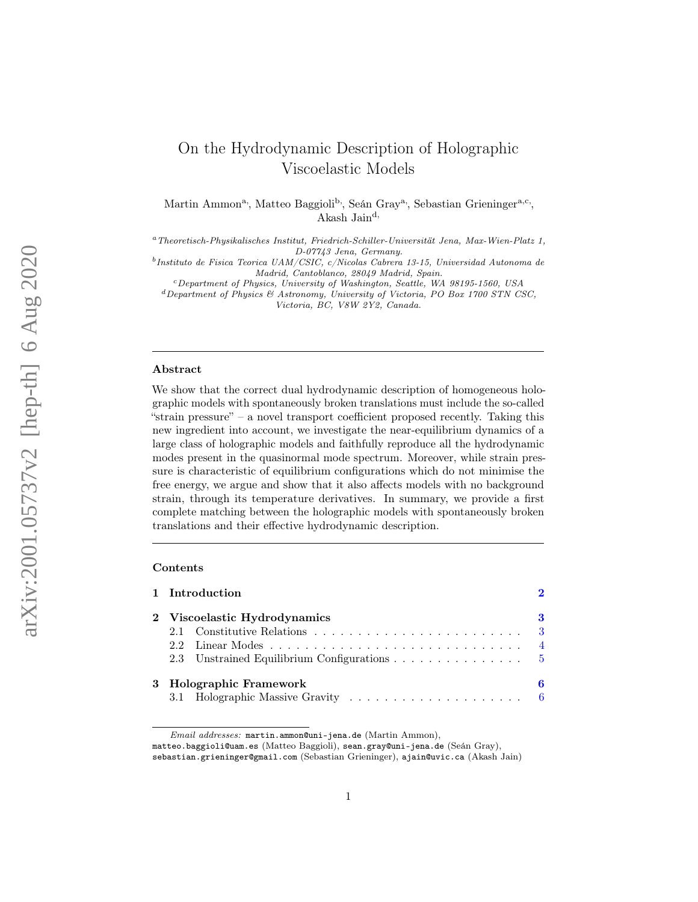# On the Hydrodynamic Description of Holographic Viscoelastic Models

Martin Ammon<sup>a</sup>, Matteo Baggioli<sup>b</sup>, Seán Gray<sup>a</sup>, Sebastian Grieninger<sup>a,c</sup>, Akash Jaind,

<sup>a</sup>Theoretisch-Physikalisches Institut, Friedrich-Schiller-Universität Jena, Max-Wien-Platz 1, D-07743 Jena, Germany.

<sup>b</sup>Instituto de Fisica Teorica UAM/CSIC, c/Nicolas Cabrera 13-15, Universidad Autonoma de Madrid, Cantoblanco, 28049 Madrid, Spain.

<sup>c</sup>Department of Physics, University of Washington, Seattle, WA 98195-1560, USA

 ${}^{d}$ Department of Physics & Astronomy, University of Victoria, PO Box 1700 STN CSC, Victoria, BC, V8W 2Y2, Canada.

## Abstract

We show that the correct dual hydrodynamic description of homogeneous holographic models with spontaneously broken translations must include the so-called "strain pressure" – a novel transport coefficient proposed recently. Taking this new ingredient into account, we investigate the near-equilibrium dynamics of a large class of holographic models and faithfully reproduce all the hydrodynamic modes present in the quasinormal mode spectrum. Moreover, while strain pressure is characteristic of equilibrium configurations which do not minimise the free energy, we argue and show that it also affects models with no background strain, through its temperature derivatives. In summary, we provide a first complete matching between the holographic models with spontaneously broken translations and their effective hydrodynamic description.

## Contents

|                              | 1 Introduction                              |     |  |  |  |  |  |  |  |  |  |  |
|------------------------------|---------------------------------------------|-----|--|--|--|--|--|--|--|--|--|--|
| 2 Viscoelastic Hydrodynamics |                                             |     |  |  |  |  |  |  |  |  |  |  |
|                              |                                             | - 3 |  |  |  |  |  |  |  |  |  |  |
|                              |                                             |     |  |  |  |  |  |  |  |  |  |  |
|                              | 2.3 Unstrained Equilibrium Configurations 5 |     |  |  |  |  |  |  |  |  |  |  |
| 3 Holographic Framework      |                                             |     |  |  |  |  |  |  |  |  |  |  |
|                              |                                             |     |  |  |  |  |  |  |  |  |  |  |

Email addresses: martin.ammon@uni-jena.de (Martin Ammon),

matteo.baggioli@uam.es (Matteo Baggioli), sean.gray@uni-jena.de (Seán Gray),

sebastian.grieninger@gmail.com (Sebastian Grieninger), ajain@uvic.ca (Akash Jain)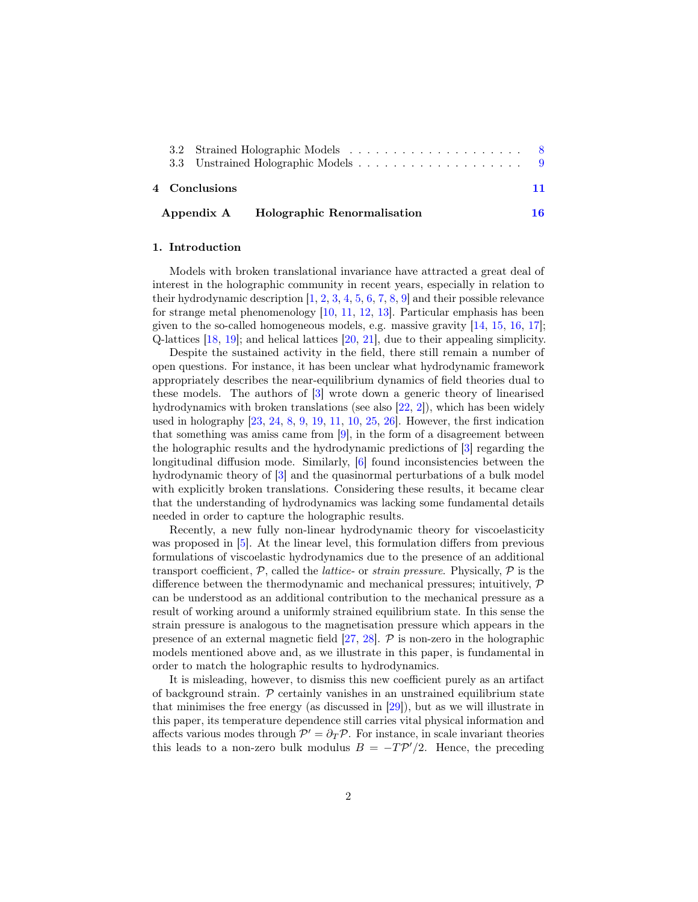|                                        |  | 4 Conclusions |  |  |  |  |  |  |  |  | 11 |
|----------------------------------------|--|---------------|--|--|--|--|--|--|--|--|----|
| Appendix A Holographic Renormalisation |  |               |  |  |  |  |  |  |  |  | 16 |

## <span id="page-1-0"></span>1. Introduction

Models with broken translational invariance have attracted a great deal of interest in the holographic community in recent years, especially in relation to their hydrodynamic description  $[1, 2, 3, 4, 5, 6, 7, 8, 9]$  $[1, 2, 3, 4, 5, 6, 7, 8, 9]$  $[1, 2, 3, 4, 5, 6, 7, 8, 9]$  $[1, 2, 3, 4, 5, 6, 7, 8, 9]$  $[1, 2, 3, 4, 5, 6, 7, 8, 9]$  $[1, 2, 3, 4, 5, 6, 7, 8, 9]$  $[1, 2, 3, 4, 5, 6, 7, 8, 9]$  $[1, 2, 3, 4, 5, 6, 7, 8, 9]$  $[1, 2, 3, 4, 5, 6, 7, 8, 9]$  $[1, 2, 3, 4, 5, 6, 7, 8, 9]$  $[1, 2, 3, 4, 5, 6, 7, 8, 9]$  $[1, 2, 3, 4, 5, 6, 7, 8, 9]$  $[1, 2, 3, 4, 5, 6, 7, 8, 9]$  $[1, 2, 3, 4, 5, 6, 7, 8, 9]$  $[1, 2, 3, 4, 5, 6, 7, 8, 9]$  $[1, 2, 3, 4, 5, 6, 7, 8, 9]$  $[1, 2, 3, 4, 5, 6, 7, 8, 9]$  and their possible relevance for strange metal phenomenology [\[10,](#page-12-6) [11,](#page-12-7) [12,](#page-12-8) [13\]](#page-12-9). Particular emphasis has been given to the so-called homogeneous models, e.g. massive gravity [\[14,](#page-12-10) [15,](#page-12-11) [16,](#page-12-12) [17\]](#page-13-0); Q-lattices [\[18,](#page-13-1) [19\]](#page-13-2); and helical lattices [\[20,](#page-13-3) [21\]](#page-13-4), due to their appealing simplicity.

Despite the sustained activity in the field, there still remain a number of open questions. For instance, it has been unclear what hydrodynamic framework appropriately describes the near-equilibrium dynamics of field theories dual to these models. The authors of [\[3\]](#page-11-2) wrote down a generic theory of linearised hydrodynamics with broken translations (see also [\[22,](#page-13-5) [2\]](#page-11-1)), which has been widely used in holography [\[23,](#page-13-6) [24,](#page-13-7) [8,](#page-12-4) [9,](#page-12-5) [19,](#page-13-2) [11,](#page-12-7) [10,](#page-12-6) [25,](#page-13-8) [26\]](#page-13-9). However, the first indication that something was amiss came from  $[9]$ , in the form of a disagreement between the holographic results and the hydrodynamic predictions of [\[3\]](#page-11-2) regarding the longitudinal diffusion mode. Similarly, [\[6\]](#page-12-2) found inconsistencies between the hydrodynamic theory of [\[3\]](#page-11-2) and the quasinormal perturbations of a bulk model with explicitly broken translations. Considering these results, it became clear that the understanding of hydrodynamics was lacking some fundamental details needed in order to capture the holographic results.

Recently, a new fully non-linear hydrodynamic theory for viscoelasticity was proposed in [\[5\]](#page-12-1). At the linear level, this formulation differs from previous formulations of viscoelastic hydrodynamics due to the presence of an additional transport coefficient,  $P$ , called the *lattice*- or *strain pressure*. Physically,  $P$  is the difference between the thermodynamic and mechanical pressures; intuitively, P can be understood as an additional contribution to the mechanical pressure as a result of working around a uniformly strained equilibrium state. In this sense the strain pressure is analogous to the magnetisation pressure which appears in the presence of an external magnetic field  $[27, 28]$  $[27, 28]$  $[27, 28]$ .  $\mathcal P$  is non-zero in the holographic models mentioned above and, as we illustrate in this paper, is fundamental in order to match the holographic results to hydrodynamics.

It is misleading, however, to dismiss this new coefficient purely as an artifact of background strain.  $P$  certainly vanishes in an unstrained equilibrium state that minimises the free energy (as discussed in [\[29\]](#page-13-12)), but as we will illustrate in this paper, its temperature dependence still carries vital physical information and affects various modes through  $\mathcal{P}' = \partial_T \mathcal{P}$ . For instance, in scale invariant theories this leads to a non-zero bulk modulus  $B = -T\mathcal{P}'/2$ . Hence, the preceding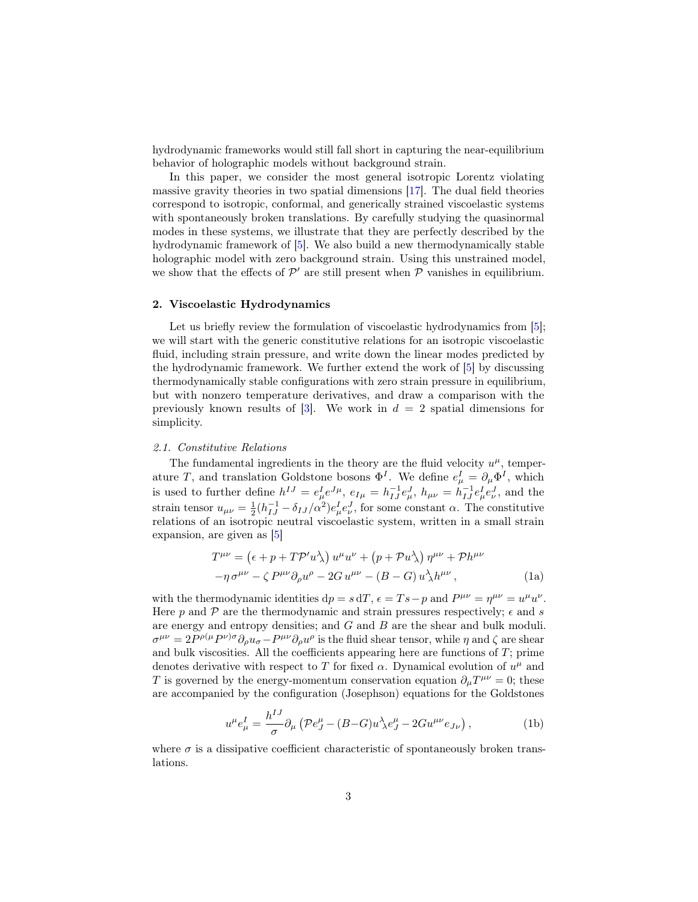hydrodynamic frameworks would still fall short in capturing the near-equilibrium behavior of holographic models without background strain.

In this paper, we consider the most general isotropic Lorentz violating massive gravity theories in two spatial dimensions [\[17\]](#page-13-0). The dual field theories correspond to isotropic, conformal, and generically strained viscoelastic systems with spontaneously broken translations. By carefully studying the quasinormal modes in these systems, we illustrate that they are perfectly described by the hydrodynamic framework of [\[5\]](#page-12-1). We also build a new thermodynamically stable holographic model with zero background strain. Using this unstrained model, we show that the effects of  $\mathcal{P}'$  are still present when  $\mathcal P$  vanishes in equilibrium.

# <span id="page-2-0"></span>2. Viscoelastic Hydrodynamics

Let us briefly review the formulation of viscoelastic hydrodynamics from [\[5\]](#page-12-1); we will start with the generic constitutive relations for an isotropic viscoelastic fluid, including strain pressure, and write down the linear modes predicted by the hydrodynamic framework. We further extend the work of [\[5\]](#page-12-1) by discussing thermodynamically stable configurations with zero strain pressure in equilibrium, but with nonzero temperature derivatives, and draw a comparison with the previously known results of [\[3\]](#page-11-2). We work in  $d = 2$  spatial dimensions for simplicity.

#### <span id="page-2-1"></span>2.1. Constitutive Relations

The fundamental ingredients in the theory are the fluid velocity  $u^{\mu}$ , temperature T, and translation Goldstone bosons  $\Phi^I$ . We define  $e^I_\mu = \partial_\mu \Phi^I$ , which is used to further define  $h^{IJ} = e^I_{\mu} e^{J\mu}$ ,  $e_{I\mu} = h^{-1}_{IJ} e^J_{\mu}$ ,  $h_{\mu\nu} = h^{-1}_{IJ} e^I_{\mu} e^J_{\nu}$ , and the strain tensor  $u_{\mu\nu} = \frac{1}{2} (h_{IJ}^{-1} - \delta_{IJ}/\alpha^2) e^I_{\mu} e^J_{\nu}$ , for some constant  $\alpha$ . The constitutive relations of an isotropic neutral viscoelastic system, written in a small strain expansion, are given as [\[5\]](#page-12-1)

$$
T^{\mu\nu} = (\epsilon + p + T\mathcal{P}' u \lambda) u^{\mu} u^{\nu} + (p + \mathcal{P} u \lambda) \eta^{\mu\nu} + \mathcal{P} h^{\mu\nu}
$$

$$
-\eta \sigma^{\mu\nu} - \zeta P^{\mu\nu} \partial_{\rho} u^{\rho} - 2G u^{\mu\nu} - (B - G) u \lambda h^{\mu\nu}, \qquad (1a)
$$

with the thermodynamic identities  $dp = s dT$ ,  $\epsilon = Ts - p$  and  $P^{\mu\nu} = \eta^{\mu\nu} = u^{\mu}u^{\nu}$ . Here p and  $P$  are the thermodynamic and strain pressures respectively;  $\epsilon$  and s are energy and entropy densities; and G and B are the shear and bulk moduli.  $\sigma^{\mu\nu} = 2P^{\rho(\mu}P^{\nu)\sigma}\partial_{\rho}u_{\sigma} - P^{\mu\nu}\partial_{\rho}u^{\rho}$  is the fluid shear tensor, while  $\eta$  and  $\zeta$  are shear and bulk viscosities. All the coefficients appearing here are functions of  $T$ ; prime denotes derivative with respect to T for fixed  $\alpha$ . Dynamical evolution of  $u^{\mu}$  and T is governed by the energy-momentum conservation equation  $\partial_{\mu}T^{\mu\nu} = 0$ ; these are accompanied by the configuration (Josephson) equations for the Goldstones

<span id="page-2-2"></span>
$$
u^{\mu}e_{\mu}^{I} = \frac{h^{IJ}}{\sigma} \partial_{\mu} \left( \mathcal{P}e_{J}^{\mu} - (B - G)u^{\lambda}_{\lambda} e_{J}^{\mu} - 2Gu^{\mu \nu} e_{J \nu} \right), \tag{1b}
$$

where  $\sigma$  is a dissipative coefficient characteristic of spontaneously broken translations.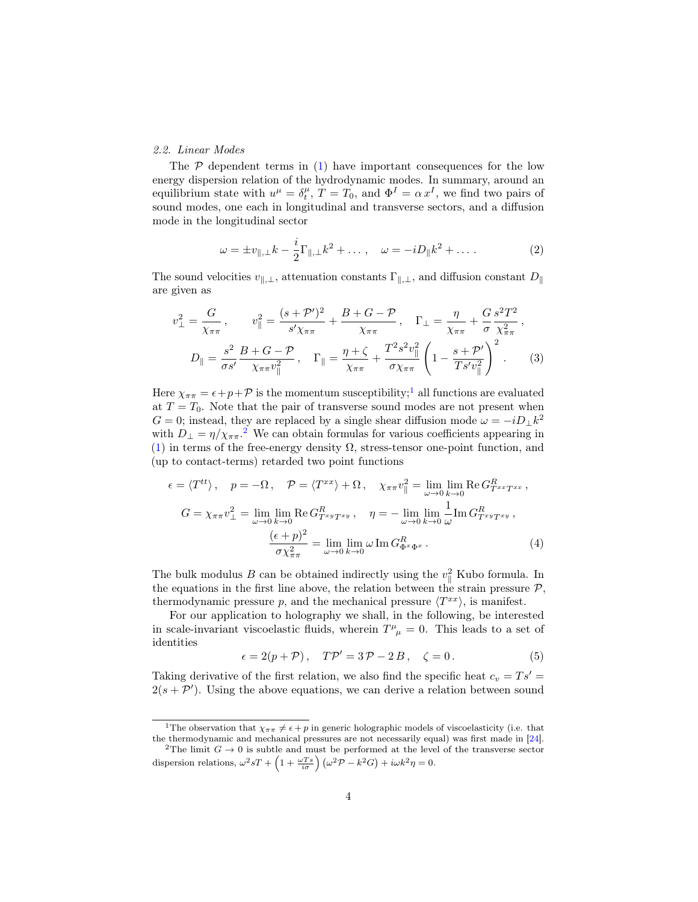# <span id="page-3-0"></span>2.2. Linear Modes

The  $P$  dependent terms in  $(1)$  have important consequences for the low energy dispersion relation of the hydrodynamic modes. In summary, around an equilibrium state with  $u^{\mu} = \delta_t^{\mu}$ ,  $T = T_0$ , and  $\Phi^I = \alpha x^I$ , we find two pairs of sound modes, one each in longitudinal and transverse sectors, and a diffusion mode in the longitudinal sector

<span id="page-3-3"></span>
$$
\omega = \pm v_{\parallel,\perp} k - \frac{i}{2} \Gamma_{\parallel,\perp} k^2 + \dots, \quad \omega = -i D_{\parallel} k^2 + \dots \,.
$$
 (2)

The sound velocities  $v_{\parallel,\perp}$ , attenuation constants  $\Gamma_{\parallel,\perp}$ , and diffusion constant  $D_{\parallel}$ are given as

$$
v_{\perp}^{2} = \frac{G}{\chi_{\pi\pi}}, \qquad v_{\parallel}^{2} = \frac{(s + \mathcal{P}')^{2}}{s'\chi_{\pi\pi}} + \frac{B + G - \mathcal{P}}{\chi_{\pi\pi}}, \quad \Gamma_{\perp} = \frac{\eta}{\chi_{\pi\pi}} + \frac{G}{\sigma} \frac{s^{2} T^{2}}{\chi_{\pi\pi}^{2}},
$$

$$
D_{\parallel} = \frac{s^{2}}{\sigma s'} \frac{B + G - \mathcal{P}}{\chi_{\pi\pi} v_{\parallel}^{2}}, \quad \Gamma_{\parallel} = \frac{\eta + \zeta}{\chi_{\pi\pi}} + \frac{T^{2} s^{2} v_{\parallel}^{2}}{\sigma \chi_{\pi\pi}} \left(1 - \frac{s + \mathcal{P}'}{Ts' v_{\parallel}^{2}}\right)^{2}.
$$
(3)

Here  $\chi_{\pi\pi} = \epsilon + p + \mathcal{P}$  is the momentum susceptibility;<sup>[1](#page-3-1)</sup> all functions are evaluated at  $T = T_0$ . Note that the pair of transverse sound modes are not present when  $G = 0$ ; instead, they are replaced by a single shear diffusion mode  $\omega = -iD_{\perp}k^2$ with  $D_{\perp} = \eta / \chi_{\pi\pi}$ .<sup>[2](#page-3-2)</sup> We can obtain formulas for various coefficients appearing in [\(1\)](#page-2-2) in terms of the free-energy density  $\Omega$ , stress-tensor one-point function, and (up to contact-terms) retarded two point functions

$$
\epsilon = \langle T^{tt} \rangle, \quad p = -\Omega, \quad \mathcal{P} = \langle T^{xx} \rangle + \Omega, \quad \chi_{\pi\pi} v_{\parallel}^2 = \lim_{\omega \to 0} \lim_{k \to 0} \text{Re} \, G_{T^{xx}T^{xx}}^R,
$$

$$
G = \chi_{\pi\pi} v_{\perp}^2 = \lim_{\omega \to 0} \lim_{k \to 0} \text{Re} \, G_{T^{xy}T^{xy}}^R, \quad \eta = -\lim_{\omega \to 0} \lim_{k \to 0} \frac{1}{\omega} \text{Im} \, G_{T^{xy}T^{xy}}^R,
$$

$$
\frac{(\epsilon + p)^2}{\sigma \chi_{\pi\pi}^2} = \lim_{\omega \to 0} \lim_{k \to 0} \omega \text{Im} \, G_{\Phi^x \Phi^x}^R.
$$
(4)

The bulk modulus B can be obtained indirectly using the  $v_{\parallel}^2$  Kubo formula. In the equations in the first line above, the relation between the strain pressure  $P$ . thermodynamic pressure p, and the mechanical pressure  $\langle T^{xx} \rangle$ , is manifest.

For our application to holography we shall, in the following, be interested in scale-invariant viscoelastic fluids, wherein  $T^{\mu}_{\mu} = 0$ . This leads to a set of identities

<span id="page-3-5"></span><span id="page-3-4"></span>
$$
\epsilon = 2(p + P), \quad T\mathcal{P}' = 3\mathcal{P} - 2B, \quad \zeta = 0. \tag{5}
$$

Taking derivative of the first relation, we also find the specific heat  $c_v = Ts' =$  $2(s + P')$ . Using the above equations, we can derive a relation between sound

<span id="page-3-1"></span><sup>&</sup>lt;sup>1</sup>The observation that  $\chi_{\pi\pi} \neq \epsilon + p$  in generic holographic models of viscoelasticity (i.e. that the thermodynamic and mechanical pressures are not necessarily equal) was first made in [\[24\]](#page-13-7).

<span id="page-3-2"></span><sup>&</sup>lt;sup>2</sup>The limit  $G \rightarrow 0$  is subtle and must be performed at the level of the transverse sector dispersion relations,  $\omega^2 sT + \left(1 + \frac{\omega Ts}{i\sigma}\right) \left(\omega^2 \mathcal{P} - k^2 G\right) + i\omega k^2 \eta = 0.$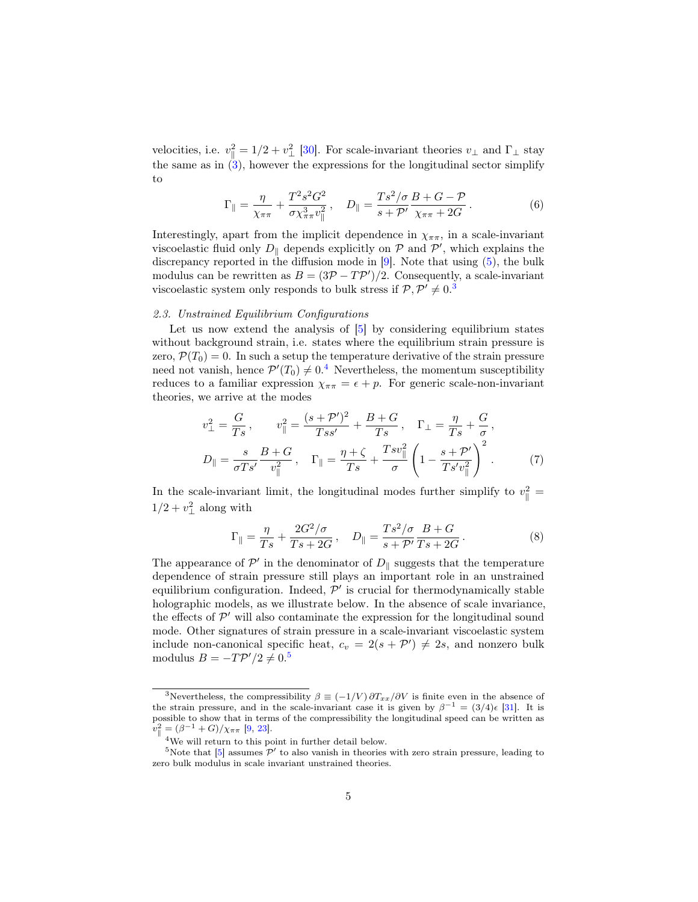velocities, i.e.  $v_{\parallel}^2 = 1/2 + v_{\perp}^2$  [\[30\]](#page-14-0). For scale-invariant theories  $v_{\perp}$  and  $\Gamma_{\perp}$  stay the same as in  $(3)$ , however the expressions for the longitudinal sector simplify to

<span id="page-4-6"></span>
$$
\Gamma_{\parallel} = \frac{\eta}{\chi_{\pi\pi}} + \frac{T^2 s^2 G^2}{\sigma \chi_{\pi\pi}^3 v_{\parallel}^2}, \quad D_{\parallel} = \frac{T s^2 / \sigma}{s + \mathcal{P}'} \frac{B + G - \mathcal{P}}{\chi_{\pi\pi} + 2G}.
$$
 (6)

Interestingly, apart from the implicit dependence in  $\chi_{\pi\pi}$ , in a scale-invariant viscoelastic fluid only  $D_{\parallel}$  depends explicitly on  $P$  and  $P'$ , which explains the discrepancy reported in the diffusion mode in [\[9\]](#page-12-5). Note that using [\(5\)](#page-3-4), the bulk modulus can be rewritten as  $B = (3P - TP')/2$ . Consequently, a scale-invariant viscoelastic system only responds to bulk stress if  $P, P' \neq 0$ .

# <span id="page-4-0"></span>2.3. Unstrained Equilibrium Configurations

Let us now extend the analysis of  $[5]$  by considering equilibrium states without background strain, i.e. states where the equilibrium strain pressure is zero,  $\mathcal{P}(T_0) = 0$ . In such a setup the temperature derivative of the strain pressure need not vanish, hence  $\mathcal{P}'(T_0) \neq 0.4$  $\mathcal{P}'(T_0) \neq 0.4$  Nevertheless, the momentum susceptibility reduces to a familiar expression  $\chi_{\pi\pi} = \epsilon + p$ . For generic scale-non-invariant theories, we arrive at the modes

$$
v_{\perp}^{2} = \frac{G}{Ts}, \qquad v_{\parallel}^{2} = \frac{(s + \mathcal{P}')^{2}}{Ts s'} + \frac{B + G}{Ts}, \quad \Gamma_{\perp} = \frac{\eta}{Ts} + \frac{G}{\sigma},
$$
  

$$
D_{\parallel} = \frac{s}{\sigma T s'} \frac{B + G}{v_{\parallel}^{2}}, \quad \Gamma_{\parallel} = \frac{\eta + \zeta}{Ts} + \frac{Ts v_{\parallel}^{2}}{\sigma} \left(1 - \frac{s + \mathcal{P}'}{Ts' v_{\parallel}^{2}}\right)^{2}.
$$
 (7)

In the scale-invariant limit, the longitudinal modes further simplify to  $v_{\parallel}^2 =$  $1/2 + v_\perp^2$  along with

<span id="page-4-5"></span><span id="page-4-4"></span>
$$
\Gamma_{\parallel} = \frac{\eta}{Ts} + \frac{2G^2/\sigma}{Ts + 2G}, \quad D_{\parallel} = \frac{Ts^2/\sigma}{s + \mathcal{P}'} \frac{B + G}{Ts + 2G}.
$$
 (8)

The appearance of  $\mathcal{P}'$  in the denominator of  $D_{\parallel}$  suggests that the temperature dependence of strain pressure still plays an important role in an unstrained equilibrium configuration. Indeed,  $\mathcal{P}'$  is crucial for thermodynamically stable holographic models, as we illustrate below. In the absence of scale invariance, the effects of  $\mathcal{P}'$  will also contaminate the expression for the longitudinal sound mode. Other signatures of strain pressure in a scale-invariant viscoelastic system include non-canonical specific heat,  $c_v = 2(s + \mathcal{P}') \neq 2s$ , and nonzero bulk modulus  $B = -T\mathcal{P}'/2 \neq 0.5$  $B = -T\mathcal{P}'/2 \neq 0.5$ 

<span id="page-4-1"></span><sup>&</sup>lt;sup>3</sup>Nevertheless, the compressibility  $\beta \equiv (-1/V) \frac{\partial T_{xx}}{\partial V}$  is finite even in the absence of the strain pressure, and in the scale-invariant case it is given by  $\beta^{-1} = (3/4)\epsilon$  [\[31\]](#page-14-1). It is possible to show that in terms of the compressibility the longitudinal speed can be written as  $v_{\parallel}^2 = (\beta^{-1} + G)/\chi_{\pi\pi}$  [\[9,](#page-12-5) [23\]](#page-13-6).

<span id="page-4-3"></span><span id="page-4-2"></span> ${}^{4}{\rm{We}}$  will return to this point in further detail below.

<sup>&</sup>lt;sup>5</sup>Note that  $\lbrack 5\rbrack$  assumes  $\mathcal{P}'$  to also vanish in theories with zero strain pressure, leading to zero bulk modulus in scale invariant unstrained theories.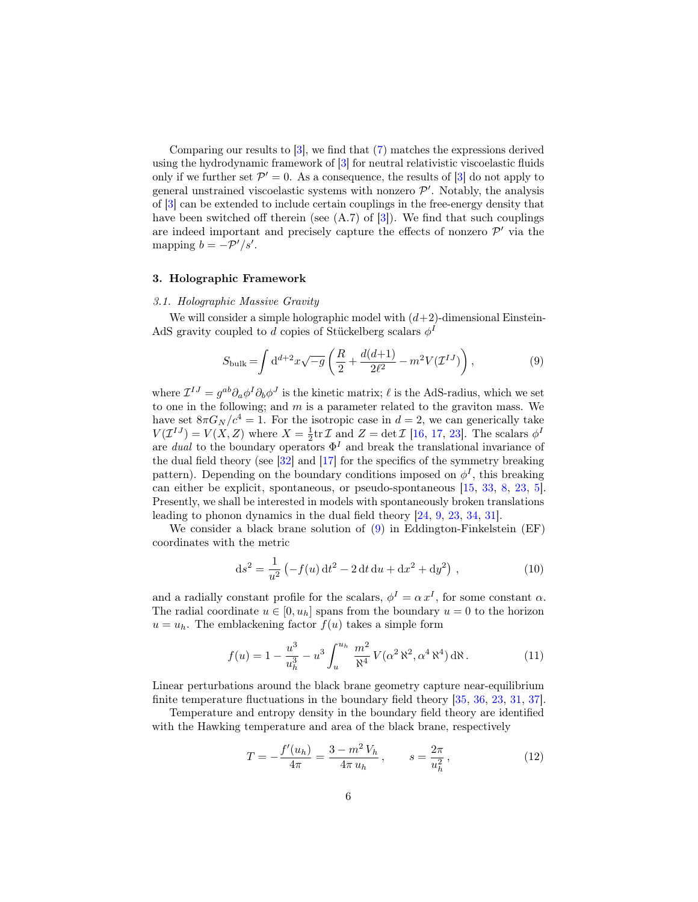Comparing our results to [\[3\]](#page-11-2), we find that [\(7\)](#page-4-4) matches the expressions derived using the hydrodynamic framework of [\[3\]](#page-11-2) for neutral relativistic viscoelastic fluids only if we further set  $\mathcal{P}' = 0$ . As a consequence, the results of [\[3\]](#page-11-2) do not apply to general unstrained viscoelastic systems with nonzero  $\mathcal{P}'$ . Notably, the analysis of [\[3\]](#page-11-2) can be extended to include certain couplings in the free-energy density that have been switched off therein (see  $(A.7)$  of  $[3]$ ). We find that such couplings are indeed important and precisely capture the effects of nonzero  $\mathcal{P}'$  via the mapping  $b = -\mathcal{P}'/s'$ .

## <span id="page-5-0"></span>3. Holographic Framework

# <span id="page-5-1"></span>3.1. Holographic Massive Gravity

We will consider a simple holographic model with  $(d+2)$ -dimensional Einstein-AdS gravity coupled to d copies of Stückelberg scalars  $\phi^I$ 

<span id="page-5-2"></span>
$$
S_{\text{bulk}} = \int d^{d+2}x \sqrt{-g} \left( \frac{R}{2} + \frac{d(d+1)}{2\ell^2} - m^2 V(\mathcal{I}^{IJ}) \right), \tag{9}
$$

where  $\mathcal{I}^{IJ} = g^{ab} \partial_a \phi^I \partial_b \phi^J$  is the kinetic matrix;  $\ell$  is the AdS-radius, which we set to one in the following; and  $m$  is a parameter related to the graviton mass. We have set  $8\pi G_N/c^4 = 1$ . For the isotropic case in  $d = 2$ , we can generically take  $V(\mathcal{I}^{IJ})=V(X,Z)$  where  $X=\frac{1}{2}\text{tr}\,\mathcal{I}$  and  $Z=\det\mathcal{I}$  [\[16,](#page-12-12) [17,](#page-13-0) [23\]](#page-13-6). The scalars  $\phi^I$ are dual to the boundary operators  $\Phi^I$  and break the translational invariance of the dual field theory (see [\[32\]](#page-14-2) and [\[17\]](#page-13-0) for the specifics of the symmetry breaking pattern). Depending on the boundary conditions imposed on  $\phi^I$ , this breaking can either be explicit, spontaneous, or pseudo-spontaneous [\[15,](#page-12-11) [33,](#page-14-3) [8,](#page-12-4) [23,](#page-13-6) [5\]](#page-12-1). Presently, we shall be interested in models with spontaneously broken translations leading to phonon dynamics in the dual field theory [\[24,](#page-13-7) [9,](#page-12-5) [23,](#page-13-6) [34,](#page-14-4) [31\]](#page-14-1).

We consider a black brane solution of [\(9\)](#page-5-2) in Eddington-Finkelstein (EF) coordinates with the metric

<span id="page-5-4"></span>
$$
ds^{2} = \frac{1}{u^{2}} \left( -f(u) dt^{2} - 2 dt du + dx^{2} + dy^{2} \right),
$$
 (10)

and a radially constant profile for the scalars,  $\phi^I = \alpha x^I$ , for some constant  $\alpha$ . The radial coordinate  $u \in [0, u_h]$  spans from the boundary  $u = 0$  to the horizon  $u = u_h$ . The emblackening factor  $f(u)$  takes a simple form

$$
f(u) = 1 - \frac{u^3}{u_h^3} - u^3 \int_u^{u_h} \frac{m^2}{\aleph^4} V(\alpha^2 \aleph^2, \alpha^4 \aleph^4) d\aleph.
$$
 (11)

Linear perturbations around the black brane geometry capture near-equilibrium finite temperature fluctuations in the boundary field theory [\[35,](#page-14-5) [36,](#page-14-6) [23,](#page-13-6) [31,](#page-14-1) [37\]](#page-14-7).

Temperature and entropy density in the boundary field theory are identified with the Hawking temperature and area of the black brane, respectively

<span id="page-5-3"></span>
$$
T = -\frac{f'(u_h)}{4\pi} = \frac{3 - m^2 V_h}{4\pi u_h}, \qquad s = \frac{2\pi}{u_h^2},
$$
 (12)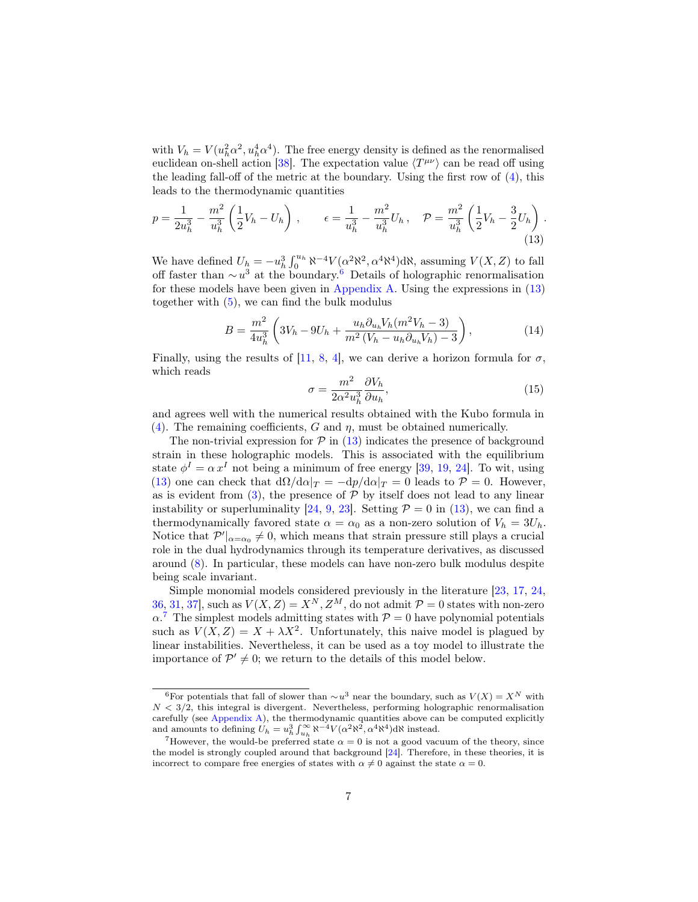with  $V_h = V(u_h^2 \alpha^2, u_h^4 \alpha^4)$ . The free energy density is defined as the renormalised euclidean on-shell action [\[38\]](#page-14-8). The expectation value  $\langle T^{\mu\nu} \rangle$  can be read off using the leading fall-off of the metric at the boundary. Using the first row of [\(4\)](#page-3-5), this leads to the thermodynamic quantities

$$
p = \frac{1}{2u_h^3} - \frac{m^2}{u_h^3} \left(\frac{1}{2}V_h - U_h\right), \qquad \epsilon = \frac{1}{u_h^3} - \frac{m^2}{u_h^3}U_h, \quad \mathcal{P} = \frac{m^2}{u_h^3} \left(\frac{1}{2}V_h - \frac{3}{2}U_h\right).
$$
\n(13)

We have defined  $U_h = -u_h^3 \int_0^{u_h} \aleph^{-4} V(\alpha^2 \aleph^2, \alpha^4 \aleph^4) d\aleph$ , assuming  $V(X, Z)$  to fall off faster than  $\sim u^3$  at the boundary.<sup>[6](#page-6-0)</sup> Details of holographic renormalisation for these models have been given in [Appendix A.](#page-15-0) Using the expressions in [\(13\)](#page-6-1) together with [\(5\)](#page-3-4), we can find the bulk modulus

<span id="page-6-4"></span>
$$
B = \frac{m^2}{4u_h^3} \left( 3V_h - 9U_h + \frac{u_h \partial_{u_h} V_h (m^2 V_h - 3)}{m^2 (V_h - u_h \partial_{u_h} V_h) - 3} \right),
$$
 (14)

Finally, using the results of [\[11,](#page-12-7) [8,](#page-12-4) [4\]](#page-12-0), we can derive a horizon formula for  $\sigma$ , which reads

<span id="page-6-3"></span><span id="page-6-1"></span>
$$
\sigma = \frac{m^2}{2\alpha^2 u_h^3} \frac{\partial V_h}{\partial u_h},\tag{15}
$$

and agrees well with the numerical results obtained with the Kubo formula in [\(4\)](#page-3-5). The remaining coefficients, G and  $\eta$ , must be obtained numerically.

The non-trivial expression for  $\mathcal{P}$  in [\(13\)](#page-6-1) indicates the presence of background strain in these holographic models. This is associated with the equilibrium state  $\phi^I = \alpha x^I$  not being a minimum of free energy [\[39,](#page-14-9) [19,](#page-13-2) [24\]](#page-13-7). To wit, using [\(13\)](#page-6-1) one can check that  $d\Omega/d\alpha|_T = -dp/d\alpha|_T = 0$  leads to  $\mathcal{P} = 0$ . However, as is evident from  $(3)$ , the presence of  $P$  by itself does not lead to any linear instability or superluminality [\[24,](#page-13-7) [9,](#page-12-5) [23\]](#page-13-6). Setting  $P = 0$  in [\(13\)](#page-6-1), we can find a thermodynamically favored state  $\alpha = \alpha_0$  as a non-zero solution of  $V_h = 3U_h$ . Notice that  $\mathcal{P}'|_{\alpha=\alpha_0}\neq 0$ , which means that strain pressure still plays a crucial role in the dual hydrodynamics through its temperature derivatives, as discussed around [\(8\)](#page-4-5). In particular, these models can have non-zero bulk modulus despite being scale invariant.

Simple monomial models considered previously in the literature [\[23,](#page-13-6) [17,](#page-13-0) [24,](#page-13-7) [36,](#page-14-6) [31,](#page-14-1) 37, such as  $V(X, Z) = X^N, Z^M$ , do not admit  $\mathcal{P} = 0$  states with non-zero  $\alpha$ .<sup>[7](#page-6-2)</sup> The simplest models admitting states with  $\mathcal{P} = 0$  have polynomial potentials such as  $V(X, Z) = X + \lambda X^2$ . Unfortunately, this naive model is plagued by linear instabilities. Nevertheless, it can be used as a toy model to illustrate the importance of  $\mathcal{P}' \neq 0$ ; we return to the details of this model below.

<span id="page-6-0"></span><sup>&</sup>lt;sup>6</sup>For potentials that fall of slower than  $\sim u^3$  near the boundary, such as  $V(X) = X^N$  with  $N < 3/2$ , this integral is divergent. Nevertheless, performing holographic renormalisation carefully (see [Appendix A\)](#page-15-0), the thermodynamic quantities above can be computed explicitly and amounts to defining  $U_h = u_h^3 \int_{u_h}^{\infty} \aleph^{-4} V(\alpha^2 \aleph^2, \alpha^4 \aleph^4) d\aleph$  instead.

<span id="page-6-2"></span><sup>&</sup>lt;sup>7</sup>However, the would-be preferred state  $\alpha = 0$  is not a good vacuum of the theory, since the model is strongly coupled around that background [\[24\]](#page-13-7). Therefore, in these theories, it is incorrect to compare free energies of states with  $\alpha \neq 0$  against the state  $\alpha = 0$ .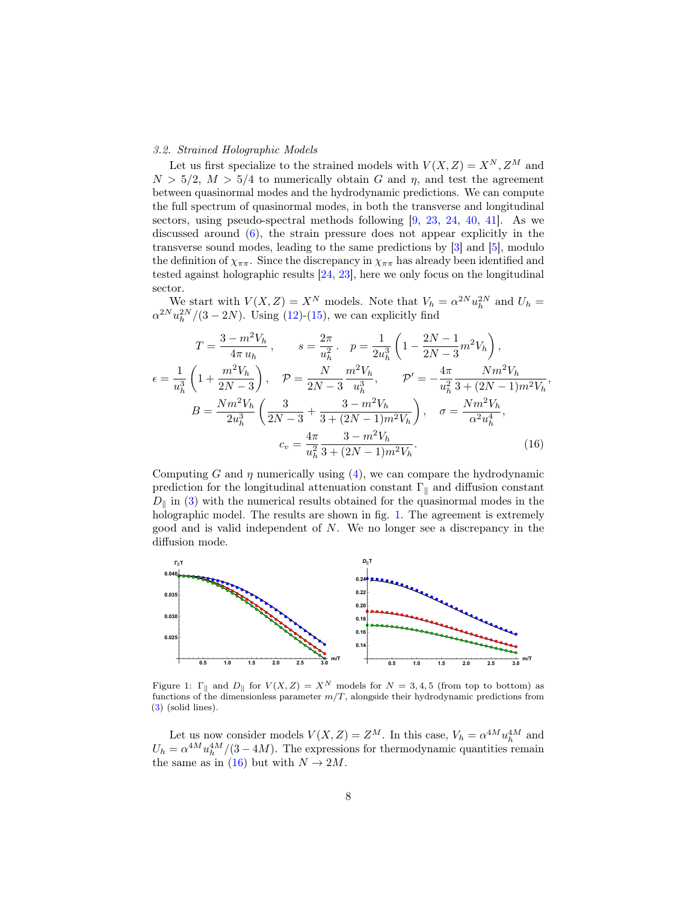## <span id="page-7-0"></span>3.2. Strained Holographic Models

Let us first specialize to the strained models with  $V(X, Z) = X^N, Z^M$  and  $N > 5/2$ ,  $M > 5/4$  to numerically obtain G and  $\eta$ , and test the agreement between quasinormal modes and the hydrodynamic predictions. We can compute the full spectrum of quasinormal modes, in both the transverse and longitudinal sectors, using pseudo-spectral methods following [\[9,](#page-12-5) [23,](#page-13-6) [24,](#page-13-7) [40,](#page-14-10) [41\]](#page-14-11). As we discussed around  $(6)$ , the strain pressure does not appear explicitly in the transverse sound modes, leading to the same predictions by [\[3\]](#page-11-2) and [\[5\]](#page-12-1), modulo the definition of  $\chi_{\pi\pi}$ . Since the discrepancy in  $\chi_{\pi\pi}$  has already been identified and tested against holographic results [\[24,](#page-13-7) [23\]](#page-13-6), here we only focus on the longitudinal sector.

We start with  $V(X, Z) = X^N$  models. Note that  $V_h = \alpha^{2N} u_h^{2N}$  and  $U_h =$  $\alpha^{2N} u_h^{2N}/(3-2N)$ . Using [\(12\)](#page-5-3)-[\(15\)](#page-6-3), we can explicitly find

$$
T = \frac{3 - m^2 V_h}{4\pi u_h}, \qquad s = \frac{2\pi}{u_h^2}. \quad p = \frac{1}{2u_h^3} \left( 1 - \frac{2N - 1}{2N - 3} m^2 V_h \right),
$$
  

$$
\epsilon = \frac{1}{u_h^3} \left( 1 + \frac{m^2 V_h}{2N - 3} \right), \qquad \mathcal{P} = \frac{N}{2N - 3} \frac{m^2 V_h}{u_h^3}, \qquad \mathcal{P}' = -\frac{4\pi}{u_h^2} \frac{N m^2 V_h}{3 + (2N - 1) m^2 V_h}
$$
  

$$
B = \frac{N m^2 V_h}{2u_h^3} \left( \frac{3}{2N - 3} + \frac{3 - m^2 V_h}{3 + (2N - 1) m^2 V_h} \right), \qquad \sigma = \frac{N m^2 V_h}{\alpha^2 u_h^4},
$$
  

$$
c_v = \frac{4\pi}{u_h^2} \frac{3 - m^2 V_h}{3 + (2N - 1) m^2 V_h}.
$$
 (16)

<span id="page-7-2"></span>,

Computing G and  $\eta$  numerically using [\(4\)](#page-3-5), we can compare the hydrodynamic prediction for the longitudinal attenuation constant  $\Gamma_{\parallel}$  and diffusion constant  $D_{\parallel}$  in [\(3\)](#page-3-3) with the numerical results obtained for the quasinormal modes in the holographic model. The results are shown in fig. [1.](#page-7-1) The agreement is extremely good and is valid independent of N. We no longer see a discrepancy in the diffusion mode.



<span id="page-7-1"></span>Figure 1:  $\Gamma_{\parallel}$  and  $D_{\parallel}$  for  $V(X, Z) = X^N$  models for  $N = 3, 4, 5$  (from top to bottom) as functions of the dimensionless parameter  $m/T$ , alongside their hydrodynamic predictions from [\(3\)](#page-3-3) (solid lines).

Let us now consider models  $V(X, Z) = Z^M$ . In this case,  $V_h = \alpha^{4M} u_h^{4M}$  and  $U_h = \alpha^{4M} u_h^{4M}/(3-4M)$ . The expressions for thermodynamic quantities remain the same as in [\(16\)](#page-7-2) but with  $N \rightarrow 2M$ .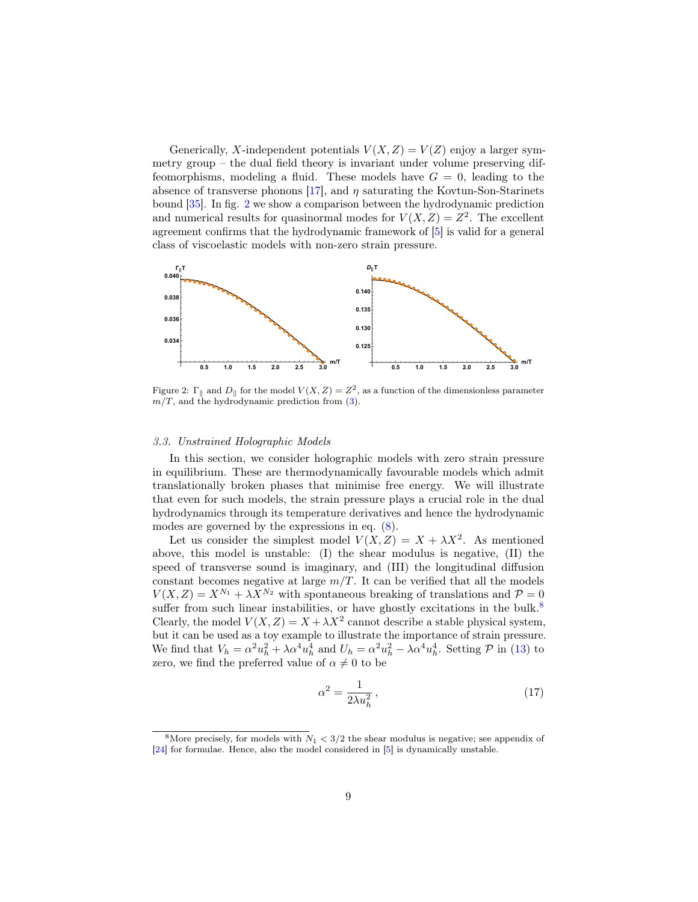Generically, X-independent potentials  $V(X, Z) = V(Z)$  enjoy a larger symmetry group – the dual field theory is invariant under volume preserving diffeomorphisms, modeling a fluid. These models have  $G = 0$ , leading to the absence of transverse phonons  $[17]$ , and  $\eta$  saturating the Kovtun-Son-Starinets bound [\[35\]](#page-14-5). In fig. [2](#page-8-1) we show a comparison between the hydrodynamic prediction and numerical results for quasinormal modes for  $V(X, Z) = Z^2$ . The excellent agreement confirms that the hydrodynamic framework of [\[5\]](#page-12-1) is valid for a general class of viscoelastic models with non-zero strain pressure.



<span id="page-8-1"></span>Figure 2:  $\Gamma_{\parallel}$  and  $D_{\parallel}$  for the model  $V(X, Z) = Z^2$ , as a function of the dimensionless parameter  $m/T$ , and the hydrodynamic prediction from [\(3\)](#page-3-3).

#### <span id="page-8-0"></span>3.3. Unstrained Holographic Models

In this section, we consider holographic models with zero strain pressure in equilibrium. These are thermodynamically favourable models which admit translationally broken phases that minimise free energy. We will illustrate that even for such models, the strain pressure plays a crucial role in the dual hydrodynamics through its temperature derivatives and hence the hydrodynamic modes are governed by the expressions in eq. [\(8\)](#page-4-5).

Let us consider the simplest model  $V(X, Z) = X + \lambda X^2$ . As mentioned above, this model is unstable: (I) the shear modulus is negative, (II) the speed of transverse sound is imaginary, and (III) the longitudinal diffusion constant becomes negative at large  $m/T$ . It can be verified that all the models  $V(X, Z) = X^{N_1} + \lambda X^{N_2}$  with spontaneous breaking of translations and  $\mathcal{P} = 0$ suffer from such linear instabilities, or have ghostly excitations in the bulk. $8$ Clearly, the model  $V(X, Z) = X + \lambda X^2$  cannot describe a stable physical system, but it can be used as a toy example to illustrate the importance of strain pressure. We find that  $V_h = \alpha^2 u_h^2 + \lambda \alpha^4 u_h^4$  and  $U_h = \alpha^2 u_h^2 - \lambda \alpha^4 u_h^4$ . Setting  $\mathcal{P}$  in [\(13\)](#page-6-1) to zero, we find the preferred value of  $\alpha \neq 0$  to be

$$
\alpha^2 = \frac{1}{2\lambda u_h^2},\tag{17}
$$

<span id="page-8-2"></span><sup>&</sup>lt;sup>8</sup>More precisely, for models with  $N_1 < 3/2$  the shear modulus is negative; see appendix of [\[24\]](#page-13-7) for formulae. Hence, also the model considered in [\[5\]](#page-12-1) is dynamically unstable.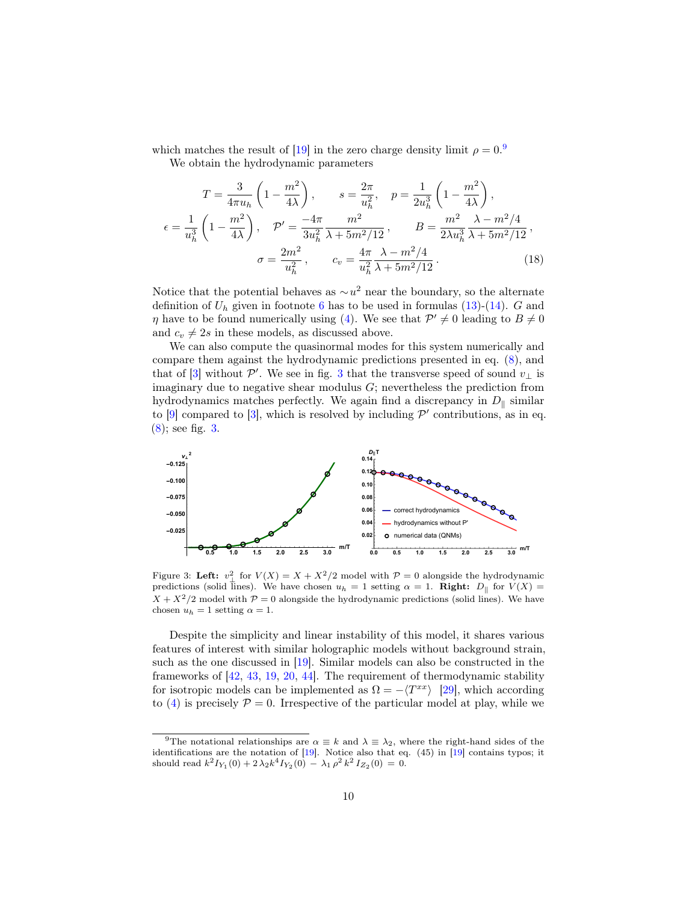which matches the result of [\[19\]](#page-13-2) in the zero charge density limit  $\rho = 0.9$  $\rho = 0.9$ We obtain the hydrodynamic parameters

$$
T = \frac{3}{4\pi u_h} \left( 1 - \frac{m^2}{4\lambda} \right), \qquad s = \frac{2\pi}{u_h^2}, \quad p = \frac{1}{2u_h^3} \left( 1 - \frac{m^2}{4\lambda} \right),
$$
  

$$
\epsilon = \frac{1}{u_h^3} \left( 1 - \frac{m^2}{4\lambda} \right), \quad \mathcal{P}' = \frac{-4\pi}{3u_h^2} \frac{m^2}{\lambda + 5m^2/12}, \qquad B = \frac{m^2}{2\lambda u_h^3} \frac{\lambda - m^2/4}{\lambda + 5m^2/12},
$$
  

$$
\sigma = \frac{2m^2}{u_h^2}, \qquad c_v = \frac{4\pi}{u_h^2} \frac{\lambda - m^2/4}{\lambda + 5m^2/12}.
$$
 (18)

Notice that the potential behaves as  $\sim u^2$  near the boundary, so the alternate definition of  $U_h$  given in footnote [6](#page-6-0) has to be used in formulas [\(13\)](#page-6-1)-[\(14\)](#page-6-4). G and  $\eta$  have to be found numerically using [\(4\)](#page-3-5). We see that  $\mathcal{P}' \neq 0$  leading to  $B \neq 0$ and  $c_v \neq 2s$  in these models, as discussed above.

We can also compute the quasinormal modes for this system numerically and compare them against the hydrodynamic predictions presented in eq. [\(8\)](#page-4-5), and that of [\[3\]](#page-11-2) without  $\mathcal{P}'$ . We see in fig. [3](#page-9-1) that the transverse speed of sound  $v_{\perp}$  is imaginary due to negative shear modulus  $G$ ; nevertheless the prediction from hydrodynamics matches perfectly. We again find a discrepancy in  $D_{\parallel}$  similar to [\[9\]](#page-12-5) compared to [\[3\]](#page-11-2), which is resolved by including  $\mathcal{P}'$  contributions, as in eq. [\(8\)](#page-4-5); see fig. [3.](#page-9-1)



<span id="page-9-1"></span>Figure 3: Left:  $v_{\perp}^2$  for  $V(X) = X + X^2/2$  model with  $P = 0$  alongside the hydrodynamic predictions (solid lines). We have chosen  $u_h = 1$  setting  $\alpha = 1$ . Right:  $D_{\parallel}$  for  $V(X) =$  $X + X^2/2$  model with  $P = 0$  alongside the hydrodynamic predictions (solid lines). We have chosen  $u_h = 1$  setting  $\alpha = 1$ .

Despite the simplicity and linear instability of this model, it shares various features of interest with similar holographic models without background strain, such as the one discussed in [\[19\]](#page-13-2). Similar models can also be constructed in the frameworks of [\[42,](#page-14-12) [43,](#page-14-13) [19,](#page-13-2) [20,](#page-13-3) [44\]](#page-15-1). The requirement of thermodynamic stability for isotropic models can be implemented as  $\Omega = -\langle T^{xx} \rangle$  [\[29\]](#page-13-12), which according to [\(4\)](#page-3-5) is precisely  $\mathcal{P} = 0$ . Irrespective of the particular model at play, while we

<span id="page-9-0"></span><sup>&</sup>lt;sup>9</sup>The notational relationships are  $\alpha \equiv k$  and  $\lambda \equiv \lambda_2$ , where the right-hand sides of the identifications are the notation of [\[19\]](#page-13-2). Notice also that eq. (45) in [\[19\]](#page-13-2) contains typos; it should read  $k^2 I_{Y_1}(0) + 2\lambda_2 k^4 I_{Y_2}(0) - \lambda_1 \rho^2 k^2 I_{Z_2}(0) = 0.$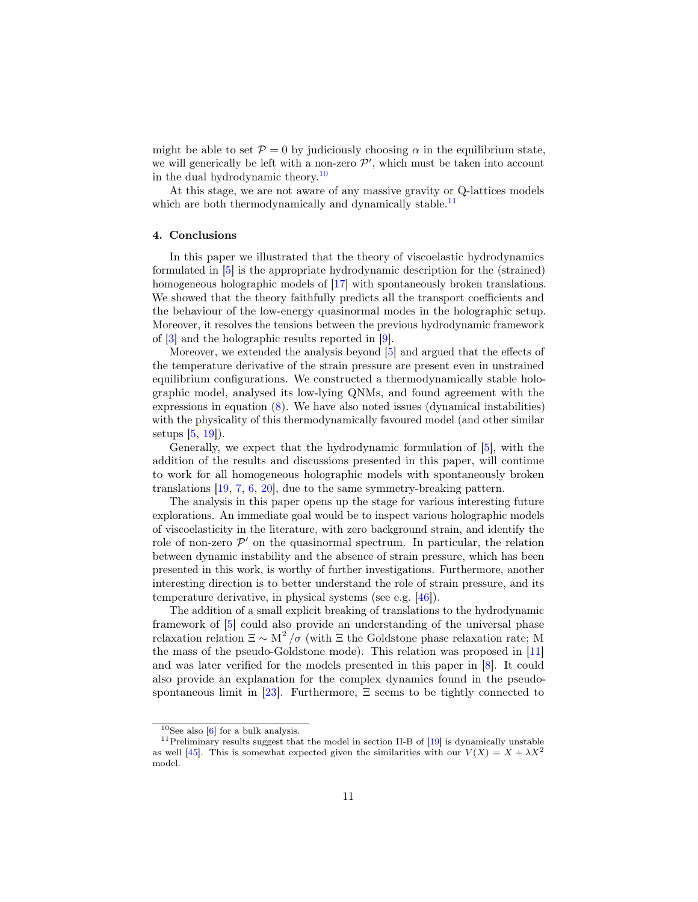might be able to set  $\mathcal{P} = 0$  by judiciously choosing  $\alpha$  in the equilibrium state, we will generically be left with a non-zero  $\mathcal{P}'$ , which must be taken into account in the dual hydrodynamic theory.[10](#page-10-1)

At this stage, we are not aware of any massive gravity or Q-lattices models which are both thermodynamically and dynamically stable.<sup>[11](#page-10-2)</sup>

## <span id="page-10-0"></span>4. Conclusions

In this paper we illustrated that the theory of viscoelastic hydrodynamics formulated in [\[5\]](#page-12-1) is the appropriate hydrodynamic description for the (strained) homogeneous holographic models of [\[17\]](#page-13-0) with spontaneously broken translations. We showed that the theory faithfully predicts all the transport coefficients and the behaviour of the low-energy quasinormal modes in the holographic setup. Moreover, it resolves the tensions between the previous hydrodynamic framework of [\[3\]](#page-11-2) and the holographic results reported in [\[9\]](#page-12-5).

Moreover, we extended the analysis beyond [\[5\]](#page-12-1) and argued that the effects of the temperature derivative of the strain pressure are present even in unstrained equilibrium configurations. We constructed a thermodynamically stable holographic model, analysed its low-lying QNMs, and found agreement with the expressions in equation  $(8)$ . We have also noted issues (dynamical instabilities) with the physicality of this thermodynamically favoured model (and other similar setups [\[5,](#page-12-1) [19\]](#page-13-2)).

Generally, we expect that the hydrodynamic formulation of [\[5\]](#page-12-1), with the addition of the results and discussions presented in this paper, will continue to work for all homogeneous holographic models with spontaneously broken translations [\[19,](#page-13-2) [7,](#page-12-3) [6,](#page-12-2) [20\]](#page-13-3), due to the same symmetry-breaking pattern.

The analysis in this paper opens up the stage for various interesting future explorations. An immediate goal would be to inspect various holographic models of viscoelasticity in the literature, with zero background strain, and identify the role of non-zero  $\mathcal{P}'$  on the quasinormal spectrum. In particular, the relation between dynamic instability and the absence of strain pressure, which has been presented in this work, is worthy of further investigations. Furthermore, another interesting direction is to better understand the role of strain pressure, and its temperature derivative, in physical systems (see e.g. [\[46\]](#page-15-2)).

The addition of a small explicit breaking of translations to the hydrodynamic framework of [\[5\]](#page-12-1) could also provide an understanding of the universal phase relaxation relation  $\Xi \sim M^2/\sigma$  (with  $\Xi$  the Goldstone phase relaxation rate; M the mass of the pseudo-Goldstone mode). This relation was proposed in [\[11\]](#page-12-7) and was later verified for the models presented in this paper in [\[8\]](#page-12-4). It could also provide an explanation for the complex dynamics found in the pseudospontaneous limit in  $[23]$ . Furthermore,  $\Xi$  seems to be tightly connected to

<span id="page-10-2"></span><span id="page-10-1"></span> $10$ See also [\[6\]](#page-12-2) for a bulk analysis.

<sup>&</sup>lt;sup>11</sup>Preliminary results suggest that the model in section II-B of  $[19]$  is dynamically unstable as well [\[45\]](#page-15-3). This is somewhat expected given the similarities with our  $V(X) = X + \lambda X^2$ model.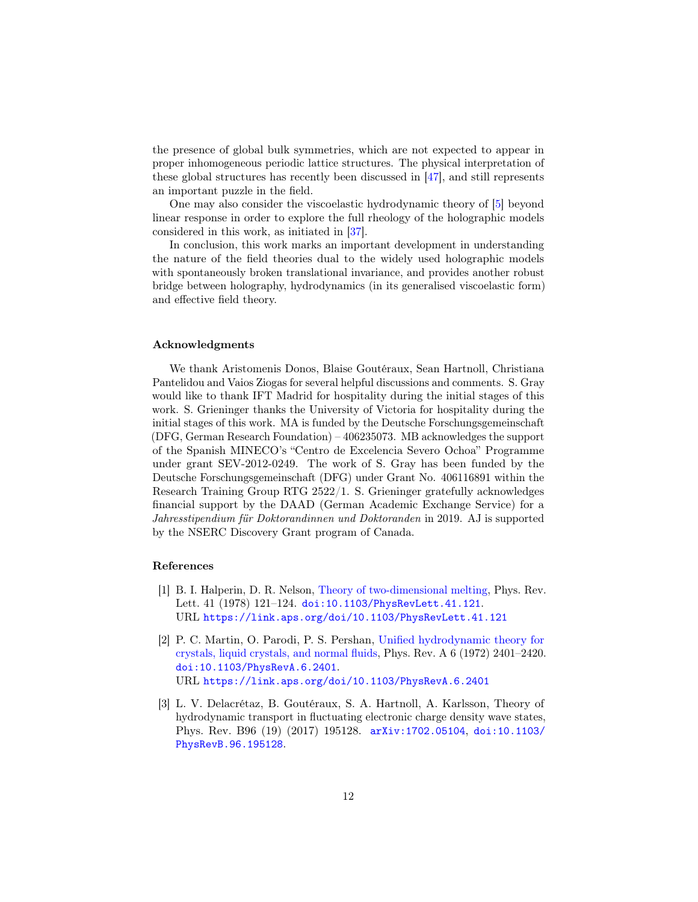the presence of global bulk symmetries, which are not expected to appear in proper inhomogeneous periodic lattice structures. The physical interpretation of these global structures has recently been discussed in [\[47\]](#page-15-4), and still represents an important puzzle in the field.

One may also consider the viscoelastic hydrodynamic theory of [\[5\]](#page-12-1) beyond linear response in order to explore the full rheology of the holographic models considered in this work, as initiated in [\[37\]](#page-14-7).

In conclusion, this work marks an important development in understanding the nature of the field theories dual to the widely used holographic models with spontaneously broken translational invariance, and provides another robust bridge between holography, hydrodynamics (in its generalised viscoelastic form) and effective field theory.

## Acknowledgments

We thank Aristomenis Donos, Blaise Goutéraux, Sean Hartnoll, Christiana Pantelidou and Vaios Ziogas for several helpful discussions and comments. S. Gray would like to thank IFT Madrid for hospitality during the initial stages of this work. S. Grieninger thanks the University of Victoria for hospitality during the initial stages of this work. MA is funded by the Deutsche Forschungsgemeinschaft (DFG, German Research Foundation) – 406235073. MB acknowledges the support of the Spanish MINECO's "Centro de Excelencia Severo Ochoa" Programme under grant SEV-2012-0249. The work of S. Gray has been funded by the Deutsche Forschungsgemeinschaft (DFG) under Grant No. 406116891 within the Research Training Group RTG 2522/1. S. Grieninger gratefully acknowledges financial support by the DAAD (German Academic Exchange Service) for a Jahresstipendium für Doktorandinnen und Doktoranden in 2019. AJ is supported by the NSERC Discovery Grant program of Canada.

# References

- <span id="page-11-0"></span>[1] B. I. Halperin, D. R. Nelson, [Theory of two-dimensional melting,](https://link.aps.org/doi/10.1103/PhysRevLett.41.121) Phys. Rev. Lett. 41 (1978) 121-124. [doi:10.1103/PhysRevLett.41.121](https://doi.org/10.1103/PhysRevLett.41.121). URL <https://link.aps.org/doi/10.1103/PhysRevLett.41.121>
- <span id="page-11-1"></span>[2] P. C. Martin, O. Parodi, P. S. Pershan, [Unified hydrodynamic theory for](https://link.aps.org/doi/10.1103/PhysRevA.6.2401) [crystals, liquid crystals, and normal fluids,](https://link.aps.org/doi/10.1103/PhysRevA.6.2401) Phys. Rev. A 6 (1972) 2401–2420. [doi:10.1103/PhysRevA.6.2401](https://doi.org/10.1103/PhysRevA.6.2401). URL <https://link.aps.org/doi/10.1103/PhysRevA.6.2401>
- <span id="page-11-2"></span>[3] L. V. Delacrétaz, B. Goutéraux, S. A. Hartnoll, A. Karlsson, Theory of hydrodynamic transport in fluctuating electronic charge density wave states, Phys. Rev. B96 (19) (2017) 195128. [arXiv:1702.05104](http://arxiv.org/abs/1702.05104), [doi:10.1103/](https://doi.org/10.1103/PhysRevB.96.195128) [PhysRevB.96.195128](https://doi.org/10.1103/PhysRevB.96.195128).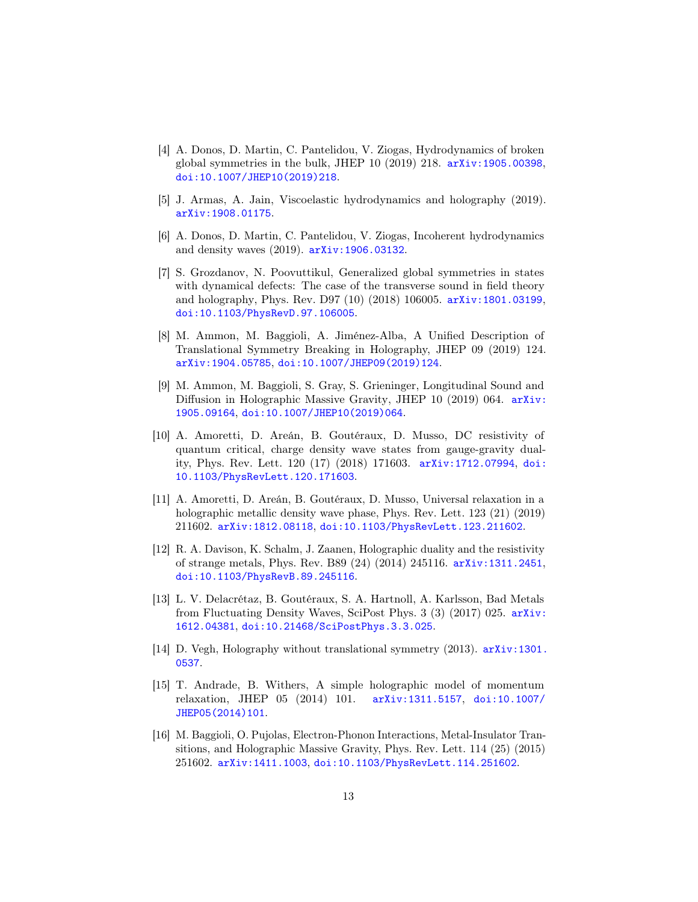- <span id="page-12-0"></span>[4] A. Donos, D. Martin, C. Pantelidou, V. Ziogas, Hydrodynamics of broken global symmetries in the bulk, JHEP  $10$  (2019) 218.  $arXiv:1905.00398$ , [doi:10.1007/JHEP10\(2019\)218](https://doi.org/10.1007/JHEP10(2019)218).
- <span id="page-12-1"></span>[5] J. Armas, A. Jain, Viscoelastic hydrodynamics and holography (2019). [arXiv:1908.01175](http://arxiv.org/abs/1908.01175).
- <span id="page-12-2"></span>[6] A. Donos, D. Martin, C. Pantelidou, V. Ziogas, Incoherent hydrodynamics and density waves (2019). [arXiv:1906.03132](http://arxiv.org/abs/1906.03132).
- <span id="page-12-3"></span>[7] S. Grozdanov, N. Poovuttikul, Generalized global symmetries in states with dynamical defects: The case of the transverse sound in field theory and holography, Phys. Rev. D97 (10) (2018) 106005. [arXiv:1801.03199](http://arxiv.org/abs/1801.03199), [doi:10.1103/PhysRevD.97.106005](https://doi.org/10.1103/PhysRevD.97.106005).
- <span id="page-12-4"></span>[8] M. Ammon, M. Baggioli, A. Jiménez-Alba, A Unified Description of Translational Symmetry Breaking in Holography, JHEP 09 (2019) 124. [arXiv:1904.05785](http://arxiv.org/abs/1904.05785), [doi:10.1007/JHEP09\(2019\)124](https://doi.org/10.1007/JHEP09(2019)124).
- <span id="page-12-5"></span>[9] M. Ammon, M. Baggioli, S. Gray, S. Grieninger, Longitudinal Sound and Diffusion in Holographic Massive Gravity, JHEP 10 (2019) 064. [arXiv:](http://arxiv.org/abs/1905.09164) [1905.09164](http://arxiv.org/abs/1905.09164), [doi:10.1007/JHEP10\(2019\)064](https://doi.org/10.1007/JHEP10(2019)064).
- <span id="page-12-6"></span>[10] A. Amoretti, D. Areán, B. Goutéraux, D. Musso, DC resistivity of quantum critical, charge density wave states from gauge-gravity duality, Phys. Rev. Lett. 120 (17) (2018) 171603. [arXiv:1712.07994](http://arxiv.org/abs/1712.07994), [doi:](https://doi.org/10.1103/PhysRevLett.120.171603) [10.1103/PhysRevLett.120.171603](https://doi.org/10.1103/PhysRevLett.120.171603).
- <span id="page-12-7"></span>[11] A. Amoretti, D. Areán, B. Goutéraux, D. Musso, Universal relaxation in a holographic metallic density wave phase, Phys. Rev. Lett. 123 (21) (2019) 211602. [arXiv:1812.08118](http://arxiv.org/abs/1812.08118), [doi:10.1103/PhysRevLett.123.211602](https://doi.org/10.1103/PhysRevLett.123.211602).
- <span id="page-12-8"></span>[12] R. A. Davison, K. Schalm, J. Zaanen, Holographic duality and the resistivity of strange metals, Phys. Rev. B89 (24) (2014) 245116. [arXiv:1311.2451](http://arxiv.org/abs/1311.2451), [doi:10.1103/PhysRevB.89.245116](https://doi.org/10.1103/PhysRevB.89.245116).
- <span id="page-12-9"></span>[13] L. V. Delacrétaz, B. Goutéraux, S. A. Hartnoll, A. Karlsson, Bad Metals from Fluctuating Density Waves, SciPost Phys. 3 (3) (2017) 025. [arXiv:](http://arxiv.org/abs/1612.04381) [1612.04381](http://arxiv.org/abs/1612.04381), [doi:10.21468/SciPostPhys.3.3.025](https://doi.org/10.21468/SciPostPhys.3.3.025).
- <span id="page-12-10"></span>[14] D. Vegh, Holography without translational symmetry (2013). [arXiv:1301.](http://arxiv.org/abs/1301.0537) [0537](http://arxiv.org/abs/1301.0537).
- <span id="page-12-11"></span>[15] T. Andrade, B. Withers, A simple holographic model of momentum relaxation, JHEP 05 (2014) 101. [arXiv:1311.5157](http://arxiv.org/abs/1311.5157), [doi:10.1007/](https://doi.org/10.1007/JHEP05(2014)101) [JHEP05\(2014\)101](https://doi.org/10.1007/JHEP05(2014)101).
- <span id="page-12-12"></span>[16] M. Baggioli, O. Pujolas, Electron-Phonon Interactions, Metal-Insulator Transitions, and Holographic Massive Gravity, Phys. Rev. Lett. 114 (25) (2015) 251602. [arXiv:1411.1003](http://arxiv.org/abs/1411.1003), [doi:10.1103/PhysRevLett.114.251602](https://doi.org/10.1103/PhysRevLett.114.251602).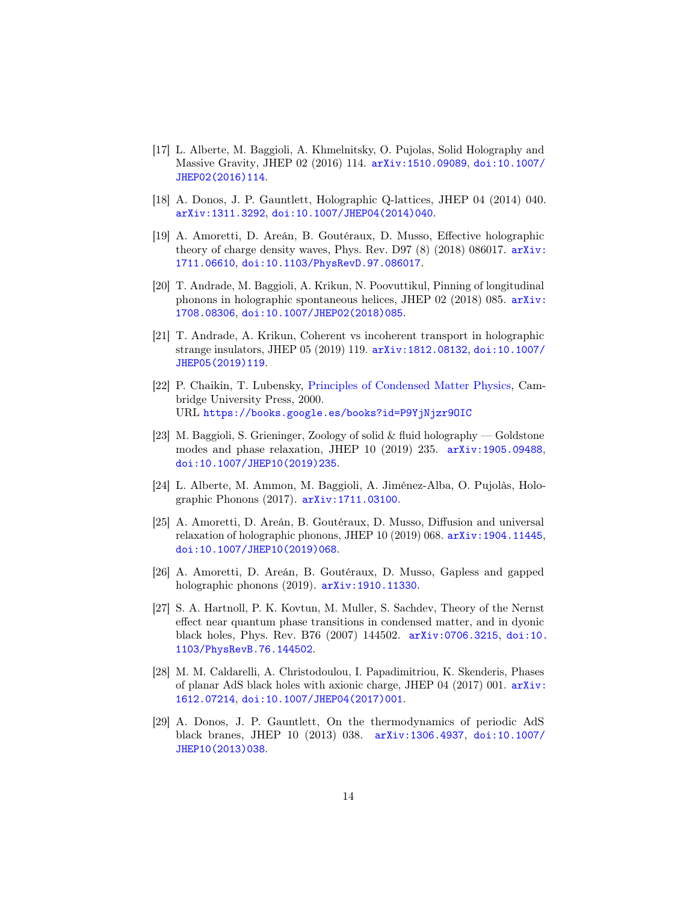- <span id="page-13-0"></span>[17] L. Alberte, M. Baggioli, A. Khmelnitsky, O. Pujolas, Solid Holography and Massive Gravity, JHEP 02 (2016) 114. [arXiv:1510.09089](http://arxiv.org/abs/1510.09089), [doi:10.1007/](https://doi.org/10.1007/JHEP02(2016)114) [JHEP02\(2016\)114](https://doi.org/10.1007/JHEP02(2016)114).
- <span id="page-13-1"></span>[18] A. Donos, J. P. Gauntlett, Holographic Q-lattices, JHEP 04 (2014) 040. [arXiv:1311.3292](http://arxiv.org/abs/1311.3292), [doi:10.1007/JHEP04\(2014\)040](https://doi.org/10.1007/JHEP04(2014)040).
- <span id="page-13-2"></span>[19] A. Amoretti, D. Areán, B. Goutéraux, D. Musso, Effective holographic theory of charge density waves, Phys. Rev. D97  $(8)$   $(2018)$  086017.  $arXiv$ : [1711.06610](http://arxiv.org/abs/1711.06610), [doi:10.1103/PhysRevD.97.086017](https://doi.org/10.1103/PhysRevD.97.086017).
- <span id="page-13-3"></span>[20] T. Andrade, M. Baggioli, A. Krikun, N. Poovuttikul, Pinning of longitudinal phonons in holographic spontaneous helices, JHEP 02 (2018) 085. [arXiv:](http://arxiv.org/abs/1708.08306) [1708.08306](http://arxiv.org/abs/1708.08306), [doi:10.1007/JHEP02\(2018\)085](https://doi.org/10.1007/JHEP02(2018)085).
- <span id="page-13-4"></span>[21] T. Andrade, A. Krikun, Coherent vs incoherent transport in holographic strange insulators, JHEP 05 (2019) 119. [arXiv:1812.08132](http://arxiv.org/abs/1812.08132), [doi:10.1007/](https://doi.org/10.1007/JHEP05(2019)119) [JHEP05\(2019\)119](https://doi.org/10.1007/JHEP05(2019)119).
- <span id="page-13-5"></span>[22] P. Chaikin, T. Lubensky, [Principles of Condensed Matter Physics,](https://books.google.es/books?id=P9YjNjzr9OIC) Cambridge University Press, 2000. URL <https://books.google.es/books?id=P9YjNjzr9OIC>
- <span id="page-13-6"></span>[23] M. Baggioli, S. Grieninger, Zoology of solid & fluid holography — Goldstone modes and phase relaxation, JHEP 10 (2019) 235. [arXiv:1905.09488](http://arxiv.org/abs/1905.09488), [doi:10.1007/JHEP10\(2019\)235](https://doi.org/10.1007/JHEP10(2019)235).
- <span id="page-13-7"></span>[24] L. Alberte, M. Ammon, M. Baggioli, A. Jiménez-Alba, O. Pujolàs, Holographic Phonons (2017). [arXiv:1711.03100](http://arxiv.org/abs/1711.03100).
- <span id="page-13-8"></span>[25] A. Amoretti, D. Areán, B. Goutéraux, D. Musso, Diffusion and universal relaxation of holographic phonons, JHEP 10 (2019) 068. [arXiv:1904.11445](http://arxiv.org/abs/1904.11445), [doi:10.1007/JHEP10\(2019\)068](https://doi.org/10.1007/JHEP10(2019)068).
- <span id="page-13-9"></span>[26] A. Amoretti, D. Areán, B. Goutéraux, D. Musso, Gapless and gapped holographic phonons (2019). [arXiv:1910.11330](http://arxiv.org/abs/1910.11330).
- <span id="page-13-10"></span>[27] S. A. Hartnoll, P. K. Kovtun, M. Muller, S. Sachdev, Theory of the Nernst effect near quantum phase transitions in condensed matter, and in dyonic black holes, Phys. Rev. B76 (2007) 144502. [arXiv:0706.3215](http://arxiv.org/abs/0706.3215), [doi:10.](https://doi.org/10.1103/PhysRevB.76.144502) [1103/PhysRevB.76.144502](https://doi.org/10.1103/PhysRevB.76.144502).
- <span id="page-13-11"></span>[28] M. M. Caldarelli, A. Christodoulou, I. Papadimitriou, K. Skenderis, Phases of planar AdS black holes with axionic charge, JHEP 04 (2017) 001. [arXiv:](http://arxiv.org/abs/1612.07214) [1612.07214](http://arxiv.org/abs/1612.07214), [doi:10.1007/JHEP04\(2017\)001](https://doi.org/10.1007/JHEP04(2017)001).
- <span id="page-13-12"></span>[29] A. Donos, J. P. Gauntlett, On the thermodynamics of periodic AdS black branes, JHEP 10 (2013) 038. [arXiv:1306.4937](http://arxiv.org/abs/1306.4937), [doi:10.1007/](https://doi.org/10.1007/JHEP10(2013)038) [JHEP10\(2013\)038](https://doi.org/10.1007/JHEP10(2013)038).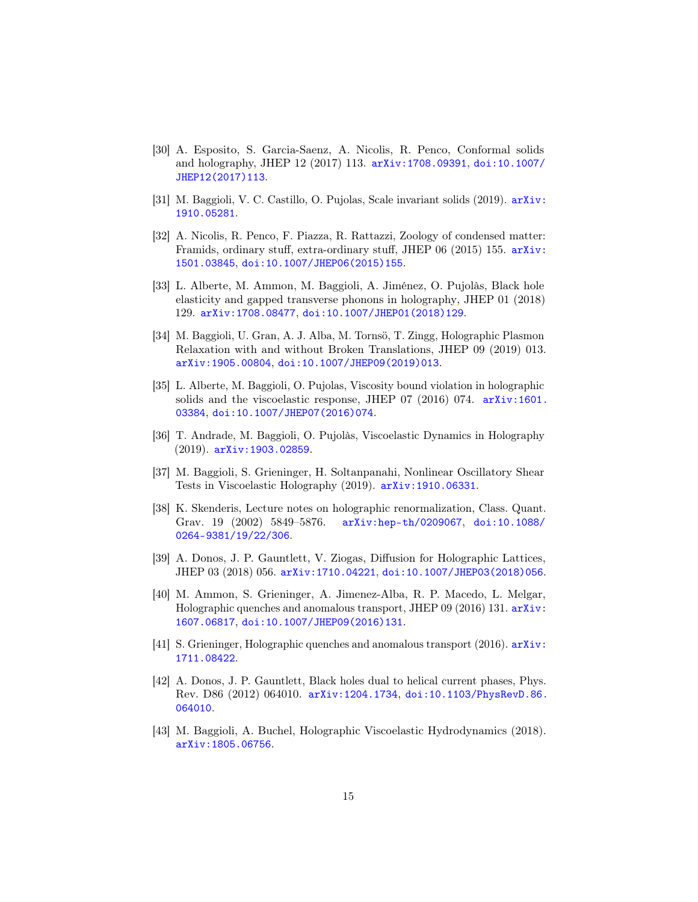- <span id="page-14-0"></span>[30] A. Esposito, S. Garcia-Saenz, A. Nicolis, R. Penco, Conformal solids and holography, JHEP 12 (2017) 113. [arXiv:1708.09391](http://arxiv.org/abs/1708.09391), [doi:10.1007/](https://doi.org/10.1007/JHEP12(2017)113) [JHEP12\(2017\)113](https://doi.org/10.1007/JHEP12(2017)113).
- <span id="page-14-1"></span>[31] M. Baggioli, V. C. Castillo, O. Pujolas, Scale invariant solids (2019). [arXiv:](http://arxiv.org/abs/1910.05281) [1910.05281](http://arxiv.org/abs/1910.05281).
- <span id="page-14-2"></span>[32] A. Nicolis, R. Penco, F. Piazza, R. Rattazzi, Zoology of condensed matter: Framids, ordinary stuff, extra-ordinary stuff, JHEP 06 (2015) 155. [arXiv:](http://arxiv.org/abs/1501.03845) [1501.03845](http://arxiv.org/abs/1501.03845), [doi:10.1007/JHEP06\(2015\)155](https://doi.org/10.1007/JHEP06(2015)155).
- <span id="page-14-3"></span>[33] L. Alberte, M. Ammon, M. Baggioli, A. Jiménez, O. Pujolàs, Black hole elasticity and gapped transverse phonons in holography, JHEP 01 (2018) 129. [arXiv:1708.08477](http://arxiv.org/abs/1708.08477), [doi:10.1007/JHEP01\(2018\)129](https://doi.org/10.1007/JHEP01(2018)129).
- <span id="page-14-4"></span>[34] M. Baggioli, U. Gran, A. J. Alba, M. Tornsö, T. Zingg, Holographic Plasmon Relaxation with and without Broken Translations, JHEP 09 (2019) 013. [arXiv:1905.00804](http://arxiv.org/abs/1905.00804), [doi:10.1007/JHEP09\(2019\)013](https://doi.org/10.1007/JHEP09(2019)013).
- <span id="page-14-5"></span>[35] L. Alberte, M. Baggioli, O. Pujolas, Viscosity bound violation in holographic solids and the viscoelastic response, JHEP 07 (2016) 074. [arXiv:1601.](http://arxiv.org/abs/1601.03384) [03384](http://arxiv.org/abs/1601.03384), [doi:10.1007/JHEP07\(2016\)074](https://doi.org/10.1007/JHEP07(2016)074).
- <span id="page-14-6"></span>[36] T. Andrade, M. Baggioli, O. Pujolàs, Viscoelastic Dynamics in Holography (2019). [arXiv:1903.02859](http://arxiv.org/abs/1903.02859).
- <span id="page-14-7"></span>[37] M. Baggioli, S. Grieninger, H. Soltanpanahi, Nonlinear Oscillatory Shear Tests in Viscoelastic Holography (2019). [arXiv:1910.06331](http://arxiv.org/abs/1910.06331).
- <span id="page-14-8"></span>[38] K. Skenderis, Lecture notes on holographic renormalization, Class. Quant. Grav. 19 (2002) 5849–5876. [arXiv:hep-th/0209067](http://arxiv.org/abs/hep-th/0209067), [doi:10.1088/](https://doi.org/10.1088/0264-9381/19/22/306) [0264-9381/19/22/306](https://doi.org/10.1088/0264-9381/19/22/306).
- <span id="page-14-9"></span>[39] A. Donos, J. P. Gauntlett, V. Ziogas, Diffusion for Holographic Lattices, JHEP 03 (2018) 056. [arXiv:1710.04221](http://arxiv.org/abs/1710.04221), [doi:10.1007/JHEP03\(2018\)056](https://doi.org/10.1007/JHEP03(2018)056).
- <span id="page-14-10"></span>[40] M. Ammon, S. Grieninger, A. Jimenez-Alba, R. P. Macedo, L. Melgar, Holographic quenches and anomalous transport, JHEP 09 (2016) 131. [arXiv:](http://arxiv.org/abs/1607.06817) [1607.06817](http://arxiv.org/abs/1607.06817), [doi:10.1007/JHEP09\(2016\)131](https://doi.org/10.1007/JHEP09(2016)131).
- <span id="page-14-11"></span>[41] S. Grieninger, Holographic quenches and anomalous transport (2016).  $arXiv$ : [1711.08422](http://arxiv.org/abs/1711.08422).
- <span id="page-14-12"></span>[42] A. Donos, J. P. Gauntlett, Black holes dual to helical current phases, Phys. Rev. D86 (2012) 064010. [arXiv:1204.1734](http://arxiv.org/abs/1204.1734), [doi:10.1103/PhysRevD.86.](https://doi.org/10.1103/PhysRevD.86.064010) [064010](https://doi.org/10.1103/PhysRevD.86.064010).
- <span id="page-14-13"></span>[43] M. Baggioli, A. Buchel, Holographic Viscoelastic Hydrodynamics (2018). [arXiv:1805.06756](http://arxiv.org/abs/1805.06756).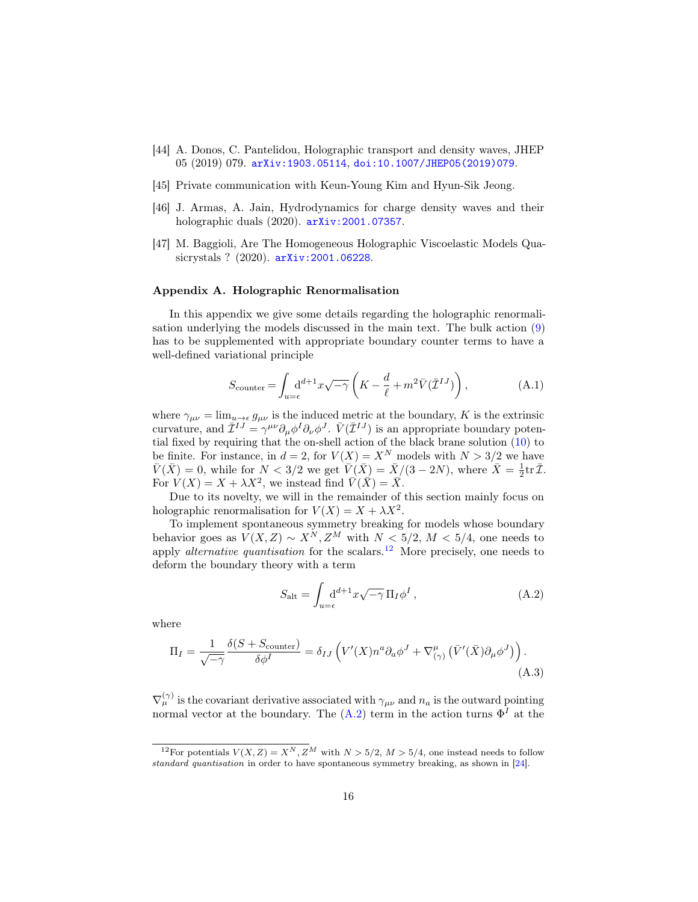- <span id="page-15-1"></span>[44] A. Donos, C. Pantelidou, Holographic transport and density waves, JHEP 05 (2019) 079. [arXiv:1903.05114](http://arxiv.org/abs/1903.05114), [doi:10.1007/JHEP05\(2019\)079](https://doi.org/10.1007/JHEP05(2019)079).
- <span id="page-15-3"></span>[45] Private communication with Keun-Young Kim and Hyun-Sik Jeong.
- <span id="page-15-2"></span>[46] J. Armas, A. Jain, Hydrodynamics for charge density waves and their holographic duals (2020). [arXiv:2001.07357](http://arxiv.org/abs/2001.07357).
- <span id="page-15-4"></span>[47] M. Baggioli, Are The Homogeneous Holographic Viscoelastic Models Quasicrystals ? (2020). [arXiv:2001.06228](http://arxiv.org/abs/2001.06228).

## <span id="page-15-0"></span>Appendix A. Holographic Renormalisation

In this appendix we give some details regarding the holographic renormalisation underlying the models discussed in the main text. The bulk action [\(9\)](#page-5-2) has to be supplemented with appropriate boundary counter terms to have a well-defined variational principle

$$
S_{\text{counter}} = \int_{u=\epsilon} \mathrm{d}^{d+1} x \sqrt{-\gamma} \left( K - \frac{d}{\ell} + m^2 \bar{V} (\bar{\mathcal{I}}^{IJ}) \right), \tag{A.1}
$$

where  $\gamma_{\mu\nu} = \lim_{u \to \epsilon} g_{\mu\nu}$  is the induced metric at the boundary, K is the extrinsic curvature, and  $\bar{\mathcal{I}}^{IJ} = \gamma^{\mu\nu} \partial_{\mu} \phi^I \partial_{\nu} \phi^J$ .  $\bar{V}(\bar{\mathcal{I}}^{IJ})$  is an appropriate boundary potential fixed by requiring that the on-shell action of the black brane solution [\(10\)](#page-5-4) to be finite. For instance, in  $d = 2$ , for  $V(X) = X^N$  models with  $N > 3/2$  we have  $\bar{V}(\bar{X}) = 0$ , while for  $N < 3/2$  we get  $\bar{V}(\bar{X}) = \bar{X}/(3 - 2N)$ , where  $\bar{X} = \frac{1}{2} \text{tr } \bar{\mathcal{I}}$ . For  $V(X) = X + \lambda X^2$ , we instead find  $\overline{V}(\overline{X}) = \overline{X}$ .

Due to its novelty, we will in the remainder of this section mainly focus on holographic renormalisation for  $V(X) = X + \lambda X^2$ .

To implement spontaneous symmetry breaking for models whose boundary behavior goes as  $V(X, Z) \sim X^N, Z^M$  with  $N < 5/2, M < 5/4$ , one needs to apply *alternative quantisation* for the scalars.<sup>[12](#page-15-5)</sup> More precisely, one needs to deform the boundary theory with a term

<span id="page-15-6"></span>
$$
S_{\rm alt} = \int_{u=\epsilon} \mathrm{d}^{d+1} x \sqrt{-\gamma} \, \Pi_I \phi^I \,, \tag{A.2}
$$

where

$$
\Pi_I = \frac{1}{\sqrt{-\gamma}} \frac{\delta(S + S_{\text{counter}})}{\delta \phi^I} = \delta_{IJ} \left( V'(X) n^a \partial_a \phi^J + \nabla^{\mu}_{(\gamma)} \left( \bar{V}'(\bar{X}) \partial_{\mu} \phi^J \right) \right).
$$
\n(A.3)

 $\nabla_{\mu}^{(\gamma)}$  is the covariant derivative associated with  $\gamma_{\mu\nu}$  and  $n_a$  is the outward pointing normal vector at the boundary. The  $(A.2)$  term in the action turns  $\Phi<sup>I</sup>$  at the

<span id="page-15-5"></span><sup>&</sup>lt;sup>12</sup>For potentials  $V(X, Z) = X^N, Z^M$  with  $N > 5/2, M > 5/4$ , one instead needs to follow standard quantisation in order to have spontaneous symmetry breaking, as shown in [\[24\]](#page-13-7).